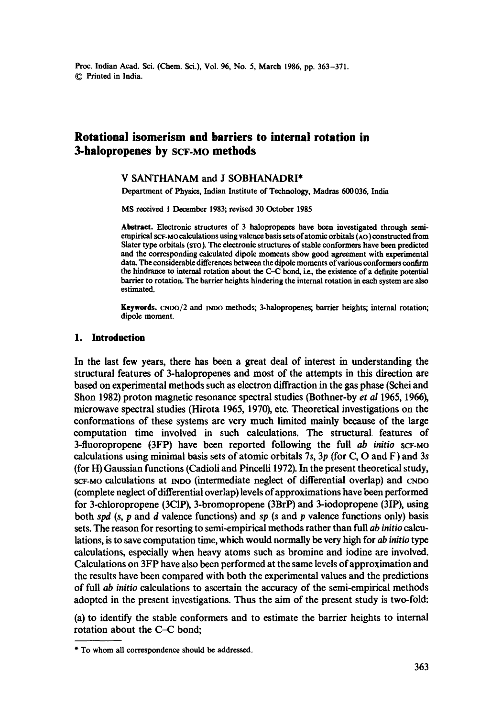# **Rotational isomerism and barriers to internal rotation in 3-halopropenes by SCF-MO methods**

### **V** SANTHANAM and J SOBHANADRI\*

Department of Physics, Indian Institute of Technology, Madras 600036, **India** 

MS received 1 December 1983; revised 30 October 1985

**Abstract.** Electronic structures of 3 halopropenes have been investigated through semiempirical  $SCF-MO$  calculations using valence basis sets of atomic orbitals  $(AO)$  constructed from Slater type orbitals (sro). The electronic structures of stable conformers have been predicted and the corresponding calculated dipole moments show good agreement with experimental data. The considerable differences between the dipole moments of various conformers confirm the hindrance to internal rotation about the C-C bond, i.e., the existence of a definite potential barrier to rotation. The barrier heights hindering the internal rotation in each system are also estimated.

**Keywords, cnoo/2 and** INDO methods; 3-halopropenes; barrier heights; internal rotation; dipole moment.

## **1. Introduction**

In the last few years, there has been a great deal of interest in understanding the structural features of 3-halopropenes and most of the attempts in this direction are based on experimental methods such as electron diffraction in the gas phase (Schei and Shon 1982) proton magnetic resonance spectral studies (Bothner-by *et al* 1965, 1966), microwave spectral studies (Hirota 1965, 1970), etc. Theoretical investigations on the conformations of these systems are very much limited mainly because of the large computation time involved in such calculations. The structural features of 3-fluoropropene (3FP) have been reported following the full *ab initio* SCF-MO calculations using minimal basis sets of atomic orbitals 7s, 3p (for C, O and F) and 3s (for H) Gaussian functions (Cadioli and Pincelli 1972). In the present theoretical study, SCF-MO calculations at INDO (intermediate neglect of differential overlap) and CNDO (complete neglect of differential overlap) levels of approximations have been performed for 3-chloropropene (3C1P), 3-bromopropene (3BrP) and 3-iodopropene (3IP), using both spd  $(s, p \text{ and } d$  valence functions) and sp  $(s \text{ and } p \text{ valence functions only})$  basis sets. The reason for resorting to semi-empirical methods rather than full ab *initio* calculations, is to save computation time, which would normally be very high for ab *initio type*  calculations, especially when heavy atoms such as bromine and iodine are involved. Calculations on 3FP have also been performed at the same levels of approximation and the results have been compared with both the experimental values and the predictions of full *ab initio* calculations to ascertain the accuracy of the semi-empirical methods adopted in the present investigations. Thus the aim of the present study is two-fold:

(a) to identify the stable conformers and to estimate the barrier heights to internal rotation about the C-C bond;

<sup>\*</sup> To whom all correspondence should be addressed.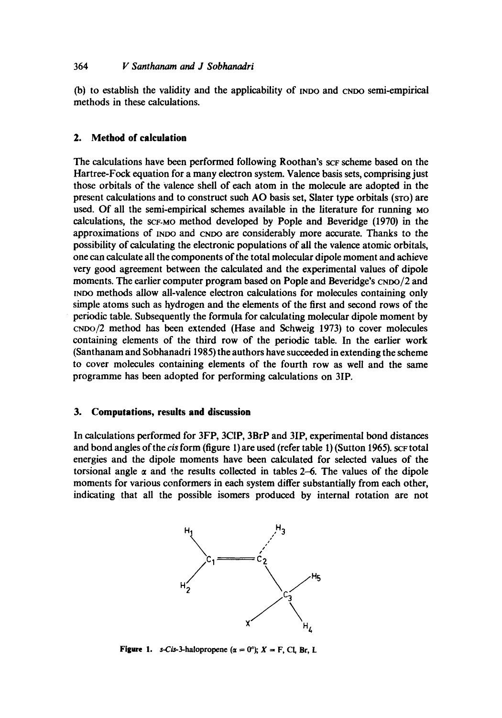(b) to establish the validity and the applicability of [NDO and CNDO semi-empirical methods in these calculations.

# **2. Method of calculation**

The calculations have been performed following Roothan's sc<sub>F</sub> scheme based on the Hartree-Fock equation for a many electron system. Valence basis sets, comprising just those orbitals of the Valence shell of each atom in the molecule are adopted in the present calculations and to construct such AO basis set, Slater type orbitals (STO) are used. Of all the semi-empirical schemes available in the literature for running Mo calculations, the SCF-MO method developed by Pople and Beveridge (1970) in the approximations of INDO and CNDO are considerably more accurate. Thanks to the possibility of calculating the electronic populations of all the valence atomic orbitals, one can calculate all the components of the total molecular dipole moment and achieve very good agreement between the calculated and the experimental values of dipole moments. The earlier computer program based on Pople and Beveridge's CNDO/2 and [NDO methods allow all-valence electron calculations for molecules containing only simple atoms such as hydrogen and the elements of the first and second rows of the periodic table. Subsequently the formula for calculating molecular dipole moment by CNDO/2 method has been extended (Hase and Schweig 1973) to cover molecules containing elements of the third row of the periodic table. In the earlier work (Santhanam and Sobhanadri 1985) the authors have succeeded in extending the scheme to cover molecules containing elements of the fourth row as well and the same programme has been adopted for performing calculations on 3IP.

## **3. Computations, results and discussion**

In calculations performed for 3FP, 3CIP, 3BrP and 3IP, experimental bond distances and bond angles of the *cis* form (figure 1) are used (refer table 1) (Sutton 1965). sc $F$  total energies and the dipole moments have been calculated for selected values of the torsional angle  $\alpha$  and the results collected in tables 2-6. The values of the dipole moments for various conformers in each system differ substantially from each other, indicating that all the possible isomers produced by internal rotation are not



**Figure 1.** s-Cis-3-halopropene  $(\alpha = 0^{\circ}); X = F$ , Cl, Br, L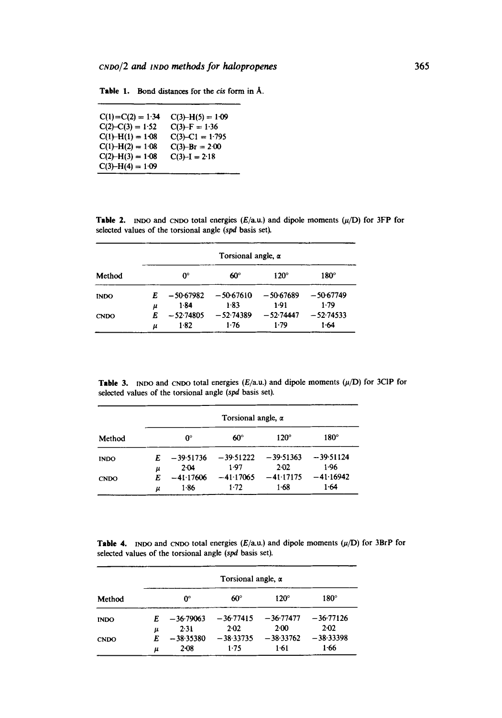| $C(1) = C(2) = 1.34$ | $C(3)-H(5)=1.09$    |
|----------------------|---------------------|
| $C(2)-C(3) = 1.52$   | $C(3) - F = 1.36$   |
| $C(1) - H(1) = 1.08$ | $C(3) - C1 = 1.795$ |
| $C(1) - H(2) = 1.08$ | $C(3)-Br = 2.00$    |
| $C(2) - H(3) = 1.08$ | $C(3)-I = 2.18$     |
| $C(3)-H(4) = 1.09$   |                     |

Table 1. Bond distances for the cis form in  $A$ .

**Table 2.** INDO and CNDO total energies  $(E/\text{a.u.})$  and dipole moments  $(\mu/D)$  for 3FP for selected values of the torsional angle (spd basis set).

| Method      | Torsional angle, $\alpha$ |             |             |             |             |
|-------------|---------------------------|-------------|-------------|-------------|-------------|
|             |                           | 0°          | $60^\circ$  | $120^\circ$ | $180^\circ$ |
| <b>INDO</b> | E                         | $-50.67982$ | $-50-67610$ | $-50.67689$ | $-50.67749$ |
|             | μ                         | $1 - 84$    | 1.83        | 1.91        | 1.79        |
| <b>CNDO</b> | E                         | $-52.74805$ | $-52.74389$ | $-52.74447$ | $-52.74533$ |
|             | μ                         | $1-82$      | $1-76$      | 1.79        | 1.64        |

Table 3. NOO and CNDO total energies  $(E/a.u.)$  and dipole moments  $(\mu/D)$  for 3CIP for selected values of the torsional angle (spd basis set).

| Method      | Torsional angle, $\alpha$ |                                 |                             |                               |                                 |
|-------------|---------------------------|---------------------------------|-----------------------------|-------------------------------|---------------------------------|
|             |                           | 0°                              | $60^\circ$                  | $120^\circ$                   | $180^\circ$                     |
| <b>INDO</b> | E                         | $-39.51736$                     | $-39.51222$                 | $-39.51363$                   | $-39.51124$                     |
| <b>CNDO</b> | μ<br>F.<br>μ              | $2-04$<br>$-41.17606$<br>$1-86$ | 1.97<br>$-41.17065$<br>1.72 | 2.02<br>$-41.17175$<br>$1-68$ | $1-96$<br>$-41.16942$<br>$1-64$ |

Table 4. INDO and CNDO total energies  $(E/a.u.)$  and dipole moments  $(\mu/D)$  for 3BrP for selected values of the torsional angle (spd basis set).

| Method      |   | Torsional angle, $\alpha$ |              |             |             |
|-------------|---|---------------------------|--------------|-------------|-------------|
|             |   | 0°                        | $60^{\circ}$ | $120^\circ$ | $180^\circ$ |
| <b>INDO</b> | E | $-36.79063$               | $-36.77415$  | $-36.77477$ | $-36·77126$ |
|             | μ | 2.31                      | $2-02$       | 2.00        | 2.02        |
| <b>CNDO</b> |   | $-38.35380$               | $-38.33735$  | $-38.33762$ | $-38.33398$ |
|             | μ | 2-08                      | 1.75         | $1-61$      | 1.66        |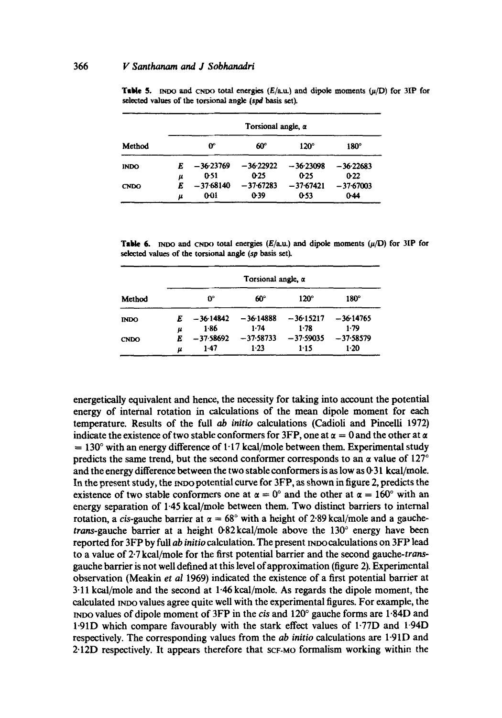| Method      |   | Torsional angle, $\alpha$ |             |             |             |  |
|-------------|---|---------------------------|-------------|-------------|-------------|--|
|             |   | œ                         | 60°         | $120^\circ$ | $180^\circ$ |  |
| <b>INDO</b> |   | $-36-23769$               | $-36.22922$ | $-36.23098$ | $-36.22683$ |  |
|             | μ | 0.51                      | 0.25        | 0.25        | 0.22        |  |
| <b>CNDO</b> |   | $-37.68140$               | $-37-67283$ | $-37.67421$ | $-37.67003$ |  |
|             | μ | 0-01                      | 0.39        | 0.53        | $0-44$      |  |

**Table 5.** INDO and CNDO total energies  $(E/\text{au})$  and dipole moments  $(\mu/D)$  for 3IP for selected values of the torsional angle (spd basis set).

**Table 6.** INDO and  $CNDO$  total energies  $(E/a, u)$  and dipole moments  $(\mu/D)$  for 31P for selected values of the torsional angle *(sp basis set).* 

| Method      | Torsional angle, a |             |             |             |             |
|-------------|--------------------|-------------|-------------|-------------|-------------|
|             |                    | 0°          | 60°         | $120^\circ$ | $180^\circ$ |
| <b>INDO</b> |                    | $-36.14842$ | $-36.14888$ | $-36.15217$ | $-36.14765$ |
|             | μ                  | $1-86$      | $1-74$      | 1.78        | 1.79        |
| <b>CNDO</b> |                    | $-37.58692$ | $-37.58733$ | $-37.59035$ | $-37.58579$ |
|             | u                  | $1-47$      | $1-23$      | 1:15        | $1-20$      |

energetically equivalent and hence, the necessity for taking into account the potential energy of internal rotation in calculations of the mean dipole moment for each temperature. Results of the full ab *initio* calculations (Cadioli and Pincelli 1972) indicate the existence of two stable conformers for 3FP, one at  $\alpha = 0$  and the other at  $\alpha$  $= 130^\circ$  with an energy difference of 1.17 kcal/mole between them. Experimental study predicts the same trend, but the second conformer corresponds to an  $\alpha$  value of 127<sup>°</sup> and the energy difference between the two stable conformers is as low as  $(6.31 \text{ kcal/mole})$ . In the present study, the  $p$  no potential curve for  $3FP$ , as shown in figure 2, predicts the existence of two stable conformers one at  $\alpha = 0^{\circ}$  and the other at  $\alpha = 160^{\circ}$  with an energy separation of 1-45 kcal/mole between them. Two distinct barriers to internal rotation, a cis-gauche barrier at  $\alpha = 68^\circ$  with a height of 2.89 kcal/mole and a gauchetrans-gauche barrier at a height  $0.82 \text{ kcal/mole}$  above the  $130^{\circ}$  energy have been reported for 3FP by full *ab initio* calculation. The present reported lations on 3FP lead to a value of 2.7 kcal/mole for the first potential barrier and the second gauche-*trans*gauche barrier is not well defined at this level of approximation (figure 2). Experimental observation (Meakin *et al* 1969) indicated the existence of a first potential barrier at 3-11 kcal/mole and the second at 1-46 kcal/mole. As regards the dipole moment, the calculated INDO values agree quite well with the experimental figures. For example, the rNDO values of dipole moment of 3FP in the *c/s* and 120 ~ gauche forms are 1.84D and 1-91D which compare favourably with the stark effect values of 1-77D and 1-94D respectively. The corresponding values from the *ab initio* calculations are 1-91D and 2.12D respectively. It appears therefore that SCF-MO formalism working within the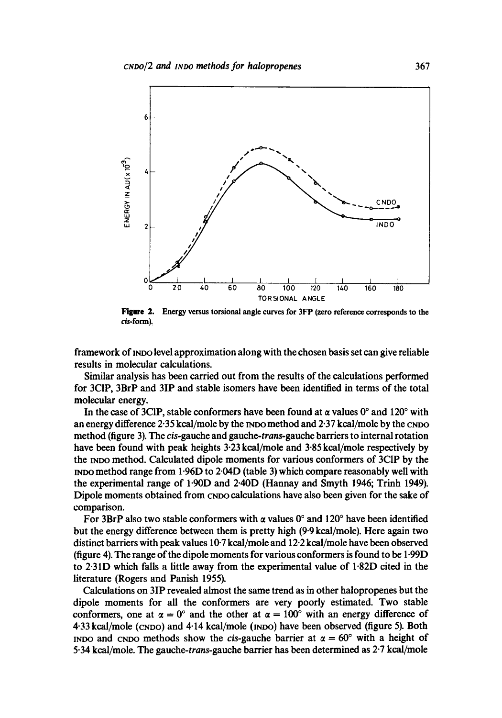

**Figure 2.** Energy versus torsional angle curves for 3FP (zero reference corresponds to the  $cis$ -form).

framework of INDO level approximation along with the chosen basis set can give reliable results in molecular calculations.

Similar analysis has been carried out from the results of the calculations performed for 3CIP, 3BrP and 3IP and stable isomers have been identified in terms of the total molecular energy.

In the case of 3CIP, stable conformers have been found at  $\alpha$  values 0° and 120° with an energy difference  $2.35$  kcal/mole by the  $N$ Do method and  $2.37$  kcal/mole by the CNDO method (figure 3). The cis-gauehe and *gauche-trans-gauche* barriers to internal rotation have been found with peak heights 3.23 kcal/mole and 3.85 kcal/mole respectively by the INDO method. Calculated dipole moments for various conformers of 3CIP by the method range from 1.96D to 2-04D (table 3) which compare reasonably well with the experimental range of 1.90D and 2.40D (Hannay and Smyth 1946; Trinh 1949). Dipole moments obtained from CNDO calculations have also been given for the sake of comparison.

For 3BrP also two stable conformers with  $\alpha$  values 0° and 120° have been identified but the energy difference between them is pretty high (9"9 kcal/mole). Here again two distinct barriers with peak values 10.7 kcal/mole and 12.2 kcal/mole have been observed (figure 4). The range of the dipole moments for various conformers is found to be 1.99D to 2.31D which falls a little away from the experimental value of 1.82D cited in the literature (Rogers and Panish 1955).

Calculations on 3IP revealed almost the same trend as in other halopropenes but the dipole moments for all the conformers are very poorly estimated. Two stable conformers, one at  $\alpha = 0^{\circ}$  and the other at  $\alpha = 100^{\circ}$  with an energy difference of 4.33 kcal/mole (CNDO) and 4.14 kcal/mole (INDO) have been observed (figure 5). Both INDO and CNDO methods show the *cis*-gauche barrier at  $\alpha = 60^\circ$  with a height of 5.34 kcal/mole. The *gauche-trans-gauche* barrier has been determined as 2-7 kcal/mole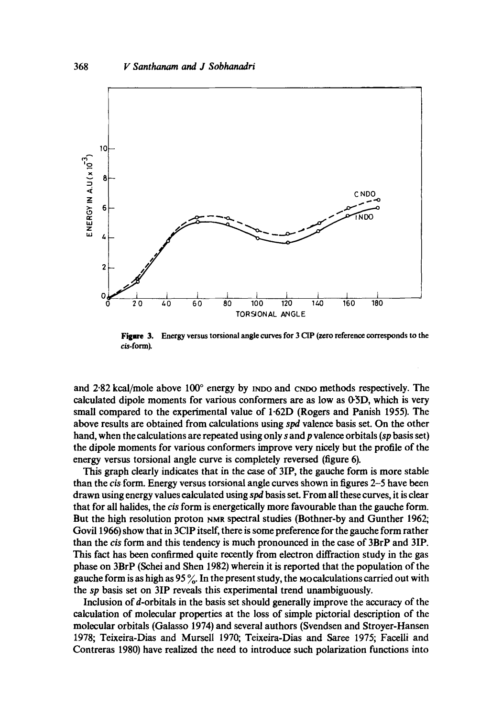

Figure 3. Energy versus torsional angle curves for 3 CIP (zero reference corresponds to the cis-form).

and 2.82 kcal/mole above  $100^{\circ}$  energy by mpo and cnpo methods respectively. The calculated dipole moments for various conformers are as low as 0-5D, which is very small compared to the experimental value of 1.62D (Rogers and Panish 1955). The above results are obtained from calculations using spd valence basis set. On the other hand, when the calculations are repeated using only s and p valence orbitals (sp basis set) the dipole moments for various conformers improve very nicely but the profile of the energy versus torsional angle curve is completely reversed (figure 6).

This graph clearly indicates that in the case of 3IP, the gauche form is more stable than the cis form. Energy versus torsional angle curves shown in figures 2–5 have been drawn using energy values calculated using spd basis set. From all these curves, it is clear that for all halides, the cis form is energetically more favourable than the gauche form. But the high resolution proton NMR spectral studies (Bothner-by and Gunther 1962; Govil 1966) show that in 3CIP itself, there is some preference for the gauche form rather than the cis form and this tendency is much pronounced in the case of 3BrP and 3IP. This fact has been confirmed quite recently from electron diffraction study in the gas phase on 3BrP (Schei and Shen 1982) wherein it is reported that the population of the gauche form is as high as 95  $\%$ . In the present study, the Mocalculations carried out with the sp basis set on 3IP reveals this experimental trend unambiguously.

Inclusion of d-orbitals in the basis set should generally improve the accuracy of the calculation of molecular properties at the loss of simple pictorial description of the molecular orbitals (Galasso 1974) and several authors (Svendsen and Stroyer-Hansen 1978; Teixeira-Dias and Mursell 1970; Teixeira-Dias and Saree 1975; Facelli and Contreras 1980) have realized the need to introduce such polarization functions into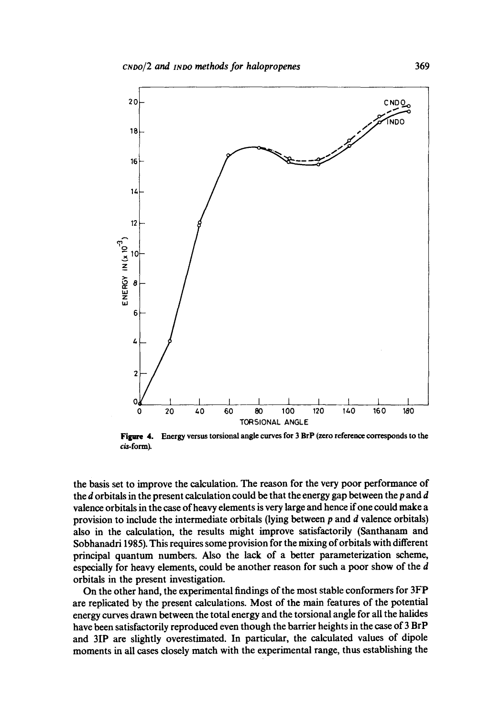

Figure 4.  $cis$ -form). Energy versus torsional angle curves for 3 BrP (zero reference corresponds to the

the basis set to improve the calculation. The reason for the very poor performance of the  $d$  orbitals in the present calculation could be that the energy gap between the  $p$  and  $d$ valence orbitals in the case of heavy elements is very large and hence if one could make a provision to include the intermediate orbitals (lying between  $p$  and  $d$  valence orbitals) also in the calculation, the results might improve satisfactorily (Santhanam and Sobhanadri 1985). This requires some provision for the mixing of orbitals with different principal quantum numbers. Also the lack of a better parameterization scheme, especially for heavy elements, could be another reason for such a poor show of the d orbitais in the present investigation.

On the other hand, the experimental findings of the most stable conformers for 3FP are replicated by the present calculations. Most of the main features of the potential energy curves drawn between the total energy and the torsional angle for all the halides have been satisfactorily reproduced even though the barrier heights in the case of 3 BrP and 3IP are slightly overestimated. In particular, the calculated values of dipole moments in all cases closely match with the experimental range, thus establishing the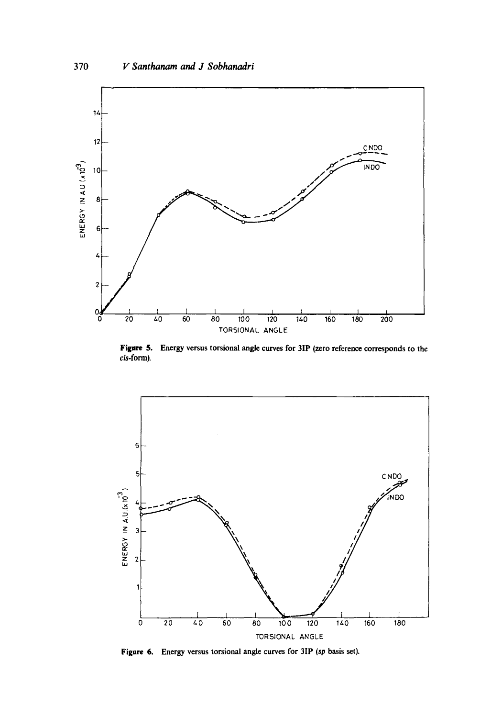

Figure 5. Energy versus torsional angle curves for 3IP (zero reference corresponds to the cis-form).



Figure 6. Energy versus torsional angle curves for 3IP (sp basis set).